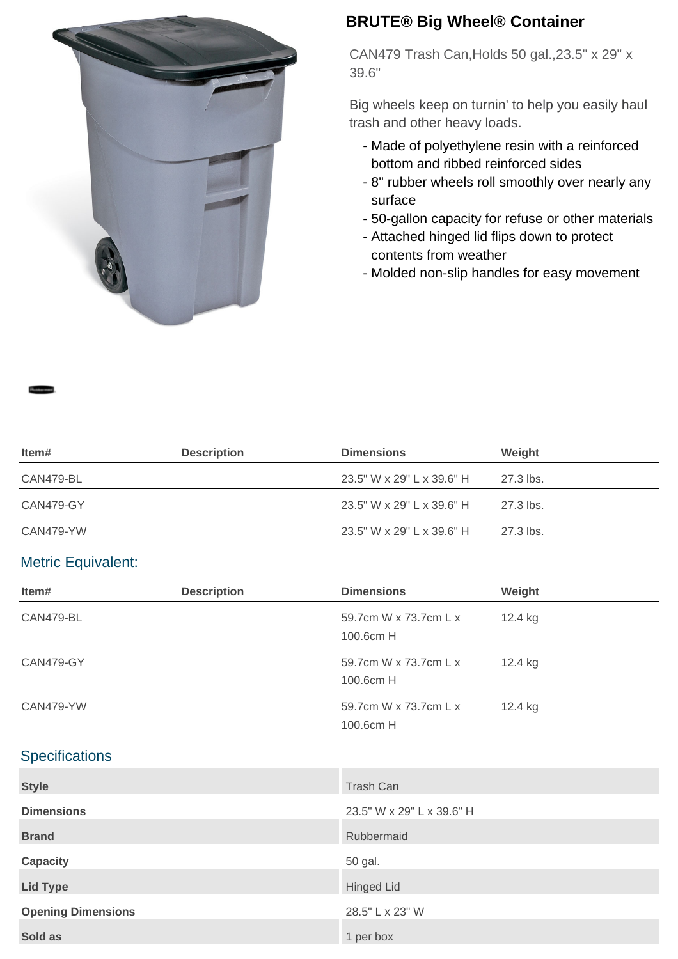

## **BRUTE® Big Wheel® Container**

CAN479 Trash Can,Holds 50 gal.,23.5" x 29" x 39.6"

Big wheels keep on turnin' to help you easily haul trash and other heavy loads.

- Made of polyethylene resin with a reinforced bottom and ribbed reinforced sides
- 8" rubber wheels roll smoothly over nearly any surface
- 50-gallon capacity for refuse or other materials
- Attached hinged lid flips down to protect contents from weather
- Molded non-slip handles for easy movement

| ltem#     | <b>Description</b> | <b>Dimensions</b>         | Weight    |
|-----------|--------------------|---------------------------|-----------|
| CAN479-BL |                    | 23.5" W x 29" L x 39.6" H | 27.3 lbs. |
| CAN479-GY |                    | 23.5" W x 29" L x 39.6" H | 27.3 lbs. |
| CAN479-YW |                    | 23.5" W x 29" L x 39.6" H | 27.3 lbs. |

## Metric Equivalent:

| Item#                     | <b>Description</b> | <b>Dimensions</b>                  | Weight  |
|---------------------------|--------------------|------------------------------------|---------|
| CAN479-BL                 |                    | 59.7cm W x 73.7cm L x<br>100.6cm H | 12.4 kg |
| CAN479-GY                 |                    | 59.7cm W x 73.7cm L x<br>100.6cm H | 12.4 kg |
| CAN479-YW                 |                    | 59.7cm W x 73.7cm L x<br>100.6cm H | 12.4 kg |
| Specifications            |                    |                                    |         |
| <b>Style</b>              |                    | Trash Can                          |         |
| <b>Dimensions</b>         |                    | 23.5" W x 29" L x 39.6" H          |         |
| <b>Brand</b>              |                    | Rubbermaid                         |         |
| <b>Capacity</b>           |                    | 50 gal.                            |         |
| <b>Lid Type</b>           |                    | <b>Hinged Lid</b>                  |         |
| <b>Opening Dimensions</b> |                    | 28.5" L x 23" W                    |         |
| Sold as                   |                    | 1 per box                          |         |